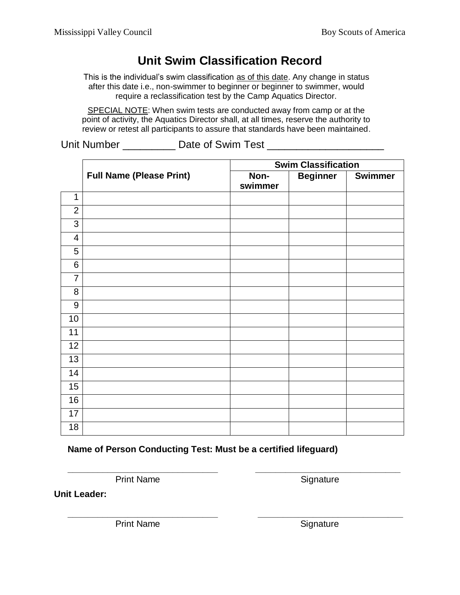# **Unit Swim Classification Record**

This is the individual's swim classification as of this date. Any change in status after this date i.e., non-swimmer to beginner or beginner to swimmer, would require a reclassification test by the Camp Aquatics Director.

SPECIAL NOTE: When swim tests are conducted away from camp or at the point of activity, the Aquatics Director shall, at all times, reserve the authority to review or retest all participants to assure that standards have been maintained.

Unit Number \_\_\_\_\_\_\_\_\_ Date of Swim Test \_\_\_\_\_\_\_\_\_\_\_\_\_\_\_\_\_\_\_\_

|                |                                 | <b>Swim Classification</b> |                 |                |
|----------------|---------------------------------|----------------------------|-----------------|----------------|
|                | <b>Full Name (Please Print)</b> | Non-<br>swimmer            | <b>Beginner</b> | <b>Swimmer</b> |
| 1              |                                 |                            |                 |                |
| $\overline{2}$ |                                 |                            |                 |                |
| 3              |                                 |                            |                 |                |
| 4              |                                 |                            |                 |                |
| 5              |                                 |                            |                 |                |
| $6\,$          |                                 |                            |                 |                |
| $\overline{7}$ |                                 |                            |                 |                |
| 8              |                                 |                            |                 |                |
| $9\,$          |                                 |                            |                 |                |
| 10             |                                 |                            |                 |                |
| 11             |                                 |                            |                 |                |
| 12             |                                 |                            |                 |                |
| 13             |                                 |                            |                 |                |
| 14             |                                 |                            |                 |                |
| 15             |                                 |                            |                 |                |
| 16             |                                 |                            |                 |                |
| 17             |                                 |                            |                 |                |
| 18             |                                 |                            |                 |                |

# **Name of Person Conducting Test: Must be a certified lifeguard)**

**\_\_\_\_\_\_\_\_\_\_\_\_\_\_\_\_\_\_\_\_\_\_\_\_\_\_\_\_\_\_ \_\_\_\_\_\_\_\_\_\_\_\_\_\_\_\_\_\_\_\_\_\_\_\_\_\_\_\_\_** 

**\_\_\_\_\_\_\_\_\_\_\_\_\_\_\_\_\_\_\_\_\_\_\_\_\_\_\_\_\_\_ \_\_\_\_\_\_\_\_\_\_\_\_\_\_\_\_\_\_\_\_\_\_\_\_\_\_\_\_\_**

Print Name Signature

**Unit Leader:** 

Print Name Signature